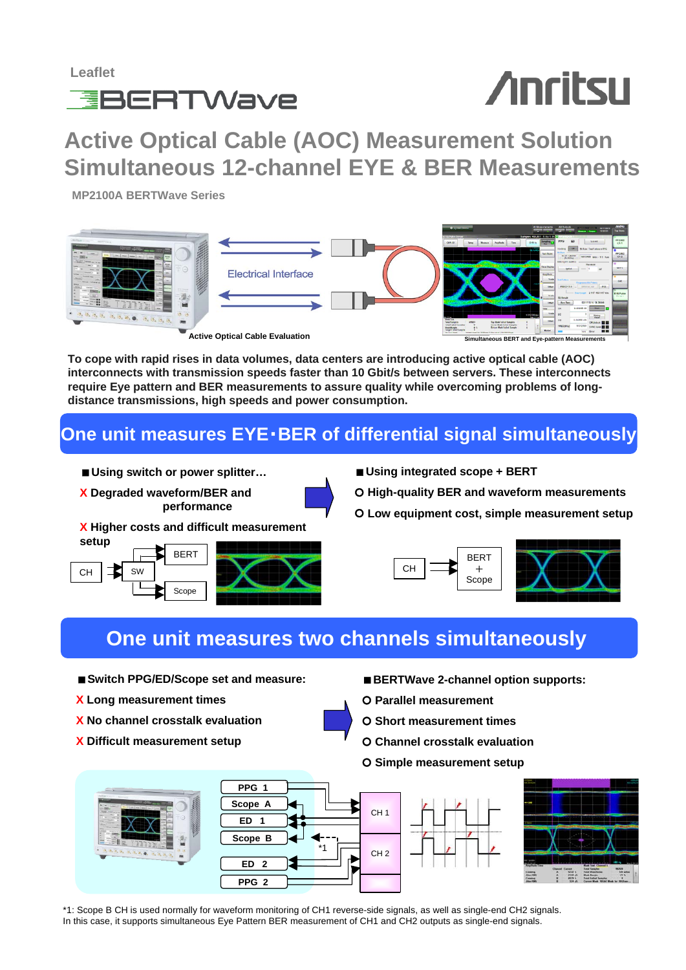

# **Anritsu**

**Active Optical Cable (AOC) Measurement Solution Simultaneous 12-channel EYE & BER Measurements**

**MP2100A BERTWave Series** 



**To cope with rapid rises in data volumes, data centers are introducing active optical cable (AOC) interconnects with transmission speeds faster than 10 Gbit/s between servers. These interconnects require Eye pattern and BER measurements to assure quality while overcoming problems of longdistance transmissions, high speeds and power consumption.**

### **One unit measures EYE**・**BER of differential signal simultaneously**

- Using switch or power splitter...
- 
- **X Degraded waveform/BER and performance**
- 
- **X Higher costs and difficult measurement**



- **Using integrated scope + BERT**
- | **High-quality BER and waveform measurements**
- | **Low equipment cost, simple measurement setup**



## **One unit measures two channels simultaneously**

- **Switch PPG/ED/Scope set and measure:**
- **X Long measurement times**
- **X No channel crosstalk evaluation**
- **X Difficult measurement setup**
- **BERTWave 2-channel option supports:**
- | **Parallel measurement**
- | **Short measurement times**
- | **Channel crosstalk evaluation**
- | **Simple measurement setup**





\*1: Scope B CH is used normally for waveform monitoring of CH1 reverse-side signals, as well as single-end CH2 signals. In this case, it supports simultaneous Eye Pattern BER measurement of CH1 and CH2 outputs as single-end signals.